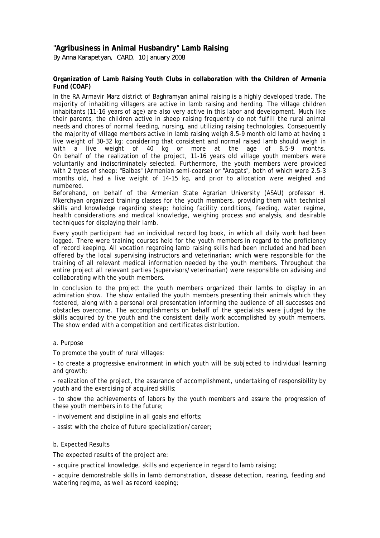## **"Agribusiness in Animal Husbandry" Lamb Raising**

*By Anna Karapetyan, CARD, 10 January 2008*

## **Organization of Lamb Raising Youth Clubs in collaboration with the Children of Armenia Fund (COAF)**

In the RA Armavir Marz district of Baghramyan animal raising is a highly developed trade. The majority of inhabiting villagers are active in lamb raising and herding. The village children inhabitants (11-16 years of age) are also very active in this labor and development. Much like their parents, the children active in sheep raising frequently do not fulfill the rural animal needs and chores of normal feeding, nursing, and utilizing raising technologies. Consequently the majority of village members active in lamb raising weigh 8.5-9 month old lamb at having a live weight of 30-32 kg; considering that consistent and normal raised lamb should weigh in with a live weight of 40 kg or more at the age of 8.5-9 months. On behalf of the realization of the project, 11-16 years old village youth members were voluntarily and indiscriminately selected. Furthermore, the youth members were provided with 2 types of sheep: "Balbas" (Armenian semi-coarse) or "Aragats", both of which were 2.5-3 months old, had a live weight of 14-15 kg, and prior to allocation were weighed and numbered.

Beforehand, on behalf of the Armenian State Agrarian University (ASAU) professor H. Mkerchyan organized training classes for the youth members, providing them with technical skills and knowledge regarding sheep; holding facility conditions, feeding, water regime, health considerations and medical knowledge, weighing process and analysis, and desirable techniques for displaying their lamb.

Every youth participant had an individual record log book, in which all daily work had been logged. There were training courses held for the youth members in regard to the proficiency of record keeping. All vocation regarding lamb raising skills had been included and had been offered by the local supervising instructors and veterinarian; which were responsible for the training of all relevant medical information needed by the youth members. Throughout the entire project all relevant parties (supervisors/veterinarian) were responsible on advising and collaborating with the youth members.

In conclusion to the project the youth members organized their lambs to display in an admiration show. The show entailed the youth members presenting their animals which they fostered, along with a personal oral presentation informing the audience of all successes and obstacles overcome. The accomplishments on behalf of the specialists were judged by the skills acquired by the youth and the consistent daily work accomplished by youth members. The show ended with a competition and certificates distribution.

## a. Purpose

To promote the youth of rural villages:

- to create a progressive environment in which youth will be subjected to individual learning and growth;

- realization of the project, the assurance of accomplishment, undertaking of responsibility by youth and the exercising of acquired skills;

- to show the achievements of labors by the youth members and assure the progression of these youth members in to the future;

- involvement and discipline in all goals and efforts;

- assist with the choice of future specialization/career;

## b. Expected Results

The expected results of the project are:

- acquire practical knowledge, skills and experience in regard to lamb raising;

- acquire demonstrable skills in lamb demonstration, disease detection, rearing, feeding and watering regime, as well as record keeping;